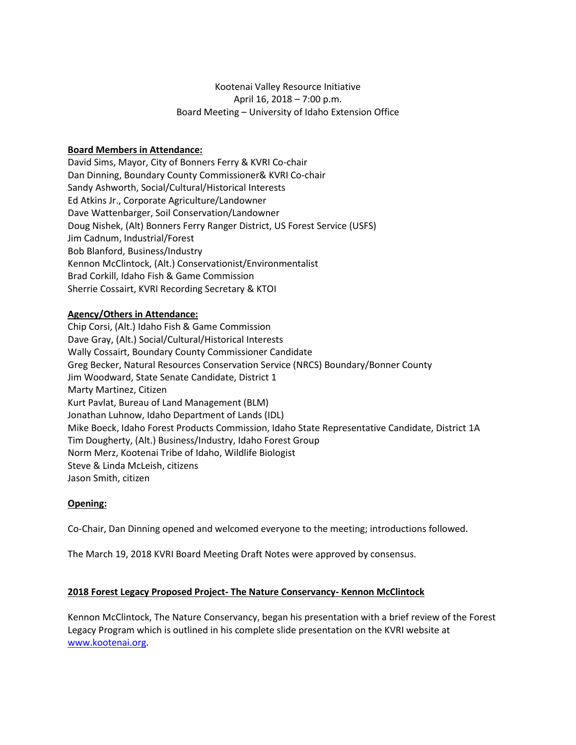# Kootenai Valley Resource Initiative April 16, 2018 – 7:00 p.m. Board Meeting – University of Idaho Extension Office

## **Board Members in Attendance:**

David Sims, Mayor, City of Bonners Ferry & KVRI Co-chair Dan Dinning, Boundary County Commissioner& KVRI Co-chair Sandy Ashworth, Social/Cultural/Historical Interests Ed Atkins Jr., Corporate Agriculture/Landowner Dave Wattenbarger, Soil Conservation/Landowner Doug Nishek, (Alt) Bonners Ferry Ranger District, US Forest Service (USFS) Jim Cadnum, Industrial/Forest Bob Blanford, Business/Industry Kennon McClintock, (Alt.) Conservationist/Environmentalist Brad Corkill, Idaho Fish & Game Commission Sherrie Cossairt, KVRI Recording Secretary & KTOI

## **Agency/Others in Attendance:**

Chip Corsi, (Alt.) Idaho Fish & Game Commission Dave Gray, (Alt.) Social/Cultural/Historical Interests Wally Cossairt, Boundary County Commissioner Candidate Greg Becker, Natural Resources Conservation Service (NRCS) Boundary/Bonner County Jim Woodward, State Senate Candidate, District 1 Marty Martinez, Citizen Kurt Pavlat, Bureau of Land Management (BLM) Jonathan Luhnow, Idaho Department of Lands (IDL) Mike Boeck, Idaho Forest Products Commission, Idaho State Representative Candidate, District 1A Tim Dougherty, (Alt.) Business/Industry, Idaho Forest Group Norm Merz, Kootenai Tribe of Idaho, Wildlife Biologist Steve & Linda McLeish, citizens Jason Smith, citizen

### **Opening:**

Co-Chair, Dan Dinning opened and welcomed everyone to the meeting; introductions followed.

The March 19, 2018 KVRI Board Meeting Draft Notes were approved by consensus.

### **2018 Forest Legacy Proposed Project- The Nature Conservancy- Kennon McClintock**

Kennon McClintock, The Nature Conservancy, began his presentation with a brief review of the Forest Legacy Program which is outlined in his complete slide presentation on the KVRI website at [www.kootenai.org.](http://www.kootenai.org/)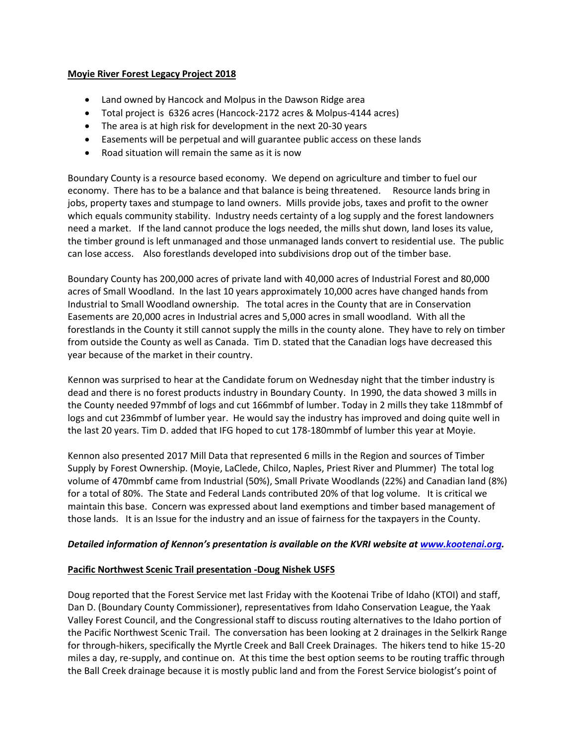#### **Moyie River Forest Legacy Project 2018**

- Land owned by Hancock and Molpus in the Dawson Ridge area
- Total project is 6326 acres (Hancock-2172 acres & Molpus-4144 acres)
- The area is at high risk for development in the next 20-30 years
- Easements will be perpetual and will guarantee public access on these lands
- Road situation will remain the same as it is now

Boundary County is a resource based economy. We depend on agriculture and timber to fuel our economy. There has to be a balance and that balance is being threatened. Resource lands bring in jobs, property taxes and stumpage to land owners. Mills provide jobs, taxes and profit to the owner which equals community stability. Industry needs certainty of a log supply and the forest landowners need a market. If the land cannot produce the logs needed, the mills shut down, land loses its value, the timber ground is left unmanaged and those unmanaged lands convert to residential use. The public can lose access. Also forestlands developed into subdivisions drop out of the timber base.

Boundary County has 200,000 acres of private land with 40,000 acres of Industrial Forest and 80,000 acres of Small Woodland. In the last 10 years approximately 10,000 acres have changed hands from Industrial to Small Woodland ownership. The total acres in the County that are in Conservation Easements are 20,000 acres in Industrial acres and 5,000 acres in small woodland. With all the forestlands in the County it still cannot supply the mills in the county alone. They have to rely on timber from outside the County as well as Canada. Tim D. stated that the Canadian logs have decreased this year because of the market in their country.

Kennon was surprised to hear at the Candidate forum on Wednesday night that the timber industry is dead and there is no forest products industry in Boundary County. In 1990, the data showed 3 mills in the County needed 97mmbf of logs and cut 166mmbf of lumber. Today in 2 mills they take 118mmbf of logs and cut 236mmbf of lumber year. He would say the industry has improved and doing quite well in the last 20 years. Tim D. added that IFG hoped to cut 178-180mmbf of lumber this year at Moyie.

Kennon also presented 2017 Mill Data that represented 6 mills in the Region and sources of Timber Supply by Forest Ownership. (Moyie, LaClede, Chilco, Naples, Priest River and Plummer) The total log volume of 470mmbf came from Industrial (50%), Small Private Woodlands (22%) and Canadian land (8%) for a total of 80%. The State and Federal Lands contributed 20% of that log volume. It is critical we maintain this base. Concern was expressed about land exemptions and timber based management of those lands. It is an Issue for the industry and an issue of fairness for the taxpayers in the County.

### *Detailed information of Kennon's presentation is available on the KVRI website a[t www.kootenai.org.](http://www.kootenai.org/)*

### **Pacific Northwest Scenic Trail presentation -Doug Nishek USFS**

Doug reported that the Forest Service met last Friday with the Kootenai Tribe of Idaho (KTOI) and staff, Dan D. (Boundary County Commissioner), representatives from Idaho Conservation League, the Yaak Valley Forest Council, and the Congressional staff to discuss routing alternatives to the Idaho portion of the Pacific Northwest Scenic Trail. The conversation has been looking at 2 drainages in the Selkirk Range for through-hikers, specifically the Myrtle Creek and Ball Creek Drainages. The hikers tend to hike 15-20 miles a day, re-supply, and continue on. At this time the best option seems to be routing traffic through the Ball Creek drainage because it is mostly public land and from the Forest Service biologist's point of